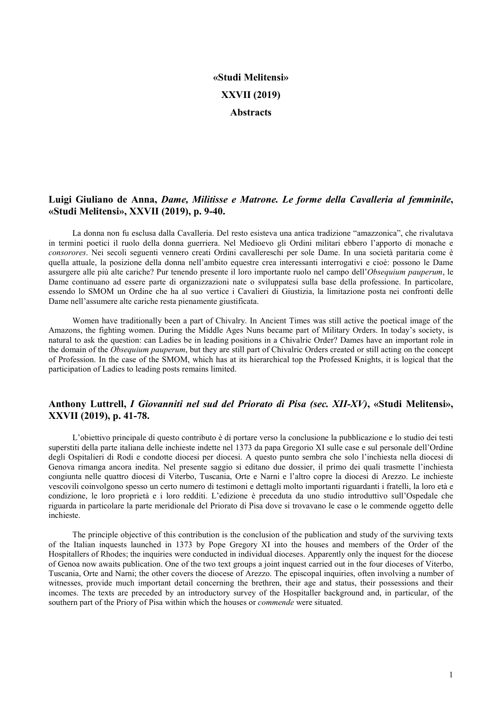# «Studi Melitensi» XXVII (2019) **Abstracts**

# Luigi Giuliano de Anna, Dame, Militisse e Matrone. Le forme della Cavalleria al femminile, «Studi Melitensi», XXVII (2019), p. 9-40.

La donna non fu esclusa dalla Cavalleria. Del resto esisteva una antica tradizione "amazzonica", che rivalutava in termini poetici il ruolo della donna guerriera. Nel Medioevo gli Ordini militari ebbero l'apporto di monache e consorores. Nei secoli seguenti vennero creati Ordini cavallereschi per sole Dame. In una società paritaria come è quella attuale, la posizione della donna nell'ambito equestre crea interessanti interrogativi e cioè: possono le Dame assurgere alle più alte cariche? Pur tenendo presente il loro importante ruolo nel campo dell'Obsequium pauperum, le Dame continuano ad essere parte di organizzazioni nate o sviluppatesi sulla base della professione. In particolare, essendo lo SMOM un Ordine che ha al suo vertice i Cavalieri di Giustizia, la limitazione posta nei confronti delle Dame nell'assumere alte cariche resta pienamente giustificata.

Women have traditionally been a part of Chivalry. In Ancient Times was still active the poetical image of the Amazons, the fighting women. During the Middle Ages Nuns became part of Military Orders. In today's society, is natural to ask the question: can Ladies be in leading positions in a Chivalric Order? Dames have an important role in the domain of the *Obsequium pauperum*, but they are still part of Chivalric Orders created or still acting on the concept of Profession. In the case of the SMOM, which has at its hierarchical top the Professed Knights, it is logical that the participation of Ladies to leading posts remains limited.

## Anthony Luttrell, I Giovanniti nel sud del Priorato di Pisa (sec. XII-XV), «Studi Melitensi», XXVII (2019), p. 41-78.

L'obiettivo principale di questo contributo è di portare verso la conclusione la pubblicazione e lo studio dei testi superstiti della parte italiana delle inchieste indette nel 1373 da papa Gregorio XI sulle case e sul personale dell'Ordine degli Ospitalieri di Rodi e condotte diocesi per diocesi. A questo punto sembra che solo l'inchiesta nella diocesi di Genova rimanga ancora inedita. Nel presente saggio si editano due dossier, il primo dei quali trasmette l'inchiesta congiunta nelle quattro diocesi di Viterbo, Tuscania, Orte e Narni e l'altro copre la diocesi di Arezzo. Le inchieste vescovili coinvolgono spesso un certo numero di testimoni e dettagli molto importanti riguardanti i fratelli, la loro età e condizione, le loro proprietà e i loro redditi. L'edizione è preceduta da uno studio introduttivo sull'Ospedale che riguarda in particolare la parte meridionale del Priorato di Pisa dove si trovavano le case o le commende oggetto delle inchieste.

The principle objective of this contribution is the conclusion of the publication and study of the surviving texts of the Italian inquests launched in 1373 by Pope Gregory XI into the houses and members of the Order of the Hospitallers of Rhodes; the inquiries were conducted in individual dioceses. Apparently only the inquest for the diocese of Genoa now awaits publication. One of the two text groups a joint inquest carried out in the four dioceses of Viterbo, Tuscania, Orte and Narni; the other covers the diocese of Arezzo. The episcopal inquiries, often involving a number of witnesses, provide much important detail concerning the brethren, their age and status, their possessions and their incomes. The texts are preceded by an introductory survey of the Hospitaller background and, in particular, of the southern part of the Priory of Pisa within which the houses or *commende* were situated.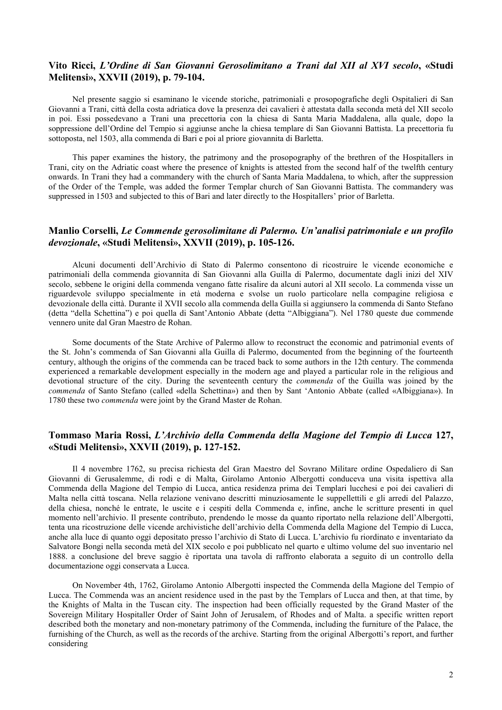## Vito Ricci, L'Ordine di San Giovanni Gerosolimitano a Trani dal XII al XVI secolo, «Studi Melitensi», XXVII (2019), p. 79-104.

Nel presente saggio si esaminano le vicende storiche, patrimoniali e prosopografiche degli Ospitalieri di San Giovanni a Trani, città della costa adriatica dove la presenza dei cavalieri è attestata dalla seconda metà del XII secolo in poi. Essi possedevano a Trani una precettoria con la chiesa di Santa Maria Maddalena, alla quale, dopo la soppressione dell'Ordine del Tempio si aggiunse anche la chiesa templare di San Giovanni Battista. La precettoria fu sottoposta, nel 1503, alla commenda di Bari e poi al priore giovannita di Barletta.

This paper examines the history, the patrimony and the prosopography of the brethren of the Hospitallers in Trani, city on the Adriatic coast where the presence of knights is attested from the second half of the twelfth century onwards. In Trani they had a commandery with the church of Santa Maria Maddalena, to which, after the suppression of the Order of the Temple, was added the former Templar church of San Giovanni Battista. The commandery was suppressed in 1503 and subjected to this of Bari and later directly to the Hospitallers' prior of Barletta.

#### Manlio Corselli, Le Commende gerosolimitane di Palermo. Un'analisi patrimoniale e un profilo devozionale, «Studi Melitensi», XXVII (2019), p. 105-126.

Alcuni documenti dell'Archivio di Stato di Palermo consentono di ricostruire le vicende economiche e patrimoniali della commenda giovannita di San Giovanni alla Guilla di Palermo, documentate dagli inizi del XIV secolo, sebbene le origini della commenda vengano fatte risalire da alcuni autori al XII secolo. La commenda visse un riguardevole sviluppo specialmente in età moderna e svolse un ruolo particolare nella compagine religiosa e devozionale della città. Durante il XVII secolo alla commenda della Guilla si aggiunsero la commenda di Santo Stefano (detta "della Schettina") e poi quella di Sant'Antonio Abbate (detta "Albiggiana"). Nel 1780 queste due commende vennero unite dal Gran Maestro de Rohan.

Some documents of the State Archive of Palermo allow to reconstruct the economic and patrimonial events of the St. John's commenda of San Giovanni alla Guilla di Palermo, documented from the beginning of the fourteenth century, although the origins of the commenda can be traced back to some authors in the 12th century. The commenda experienced a remarkable development especially in the modern age and played a particular role in the religious and devotional structure of the city. During the seventeenth century the *commenda* of the Guilla was joined by the commenda of Santo Stefano (called «della Schettina») and then by Sant 'Antonio Abbate (called «Albiggiana»). In 1780 these two commenda were joint by the Grand Master de Rohan.

#### Tommaso Maria Rossi, L'Archivio della Commenda della Magione del Tempio di Lucca 127, «Studi Melitensi», XXVII (2019), p. 127-152.

Il 4 novembre 1762, su precisa richiesta del Gran Maestro del Sovrano Militare ordine Ospedaliero di San Giovanni di Gerusalemme, di rodi e di Malta, Girolamo Antonio Albergotti conduceva una visita ispettiva alla Commenda della Magione del Tempio di Lucca, antica residenza prima dei Templari lucchesi e poi dei cavalieri di Malta nella città toscana. Nella relazione venivano descritti minuziosamente le suppellettili e gli arredi del Palazzo, della chiesa, nonché le entrate, le uscite e i cespiti della Commenda e, infine, anche le scritture presenti in quel momento nell'archivio. Il presente contributo, prendendo le mosse da quanto riportato nella relazione dell'Albergotti, tenta una ricostruzione delle vicende archivistiche dell'archivio della Commenda della Magione del Tempio di Lucca, anche alla luce di quanto oggi depositato presso l'archivio di Stato di Lucca. L'archivio fu riordinato e inventariato da Salvatore Bongi nella seconda metà del XIX secolo e poi pubblicato nel quarto e ultimo volume del suo inventario nel 1888. a conclusione del breve saggio è riportata una tavola di raffronto elaborata a seguito di un controllo della documentazione oggi conservata a Lucca.

On November 4th, 1762, Girolamo Antonio Albergotti inspected the Commenda della Magione del Tempio of Lucca. The Commenda was an ancient residence used in the past by the Templars of Lucca and then, at that time, by the Knights of Malta in the Tuscan city. The inspection had been officially requested by the Grand Master of the Sovereign Military Hospitaller Order of Saint John of Jerusalem, of Rhodes and of Malta. a specific written report described both the monetary and non-monetary patrimony of the Commenda, including the furniture of the Palace, the furnishing of the Church, as well as the records of the archive. Starting from the original Albergotti's report, and further considering